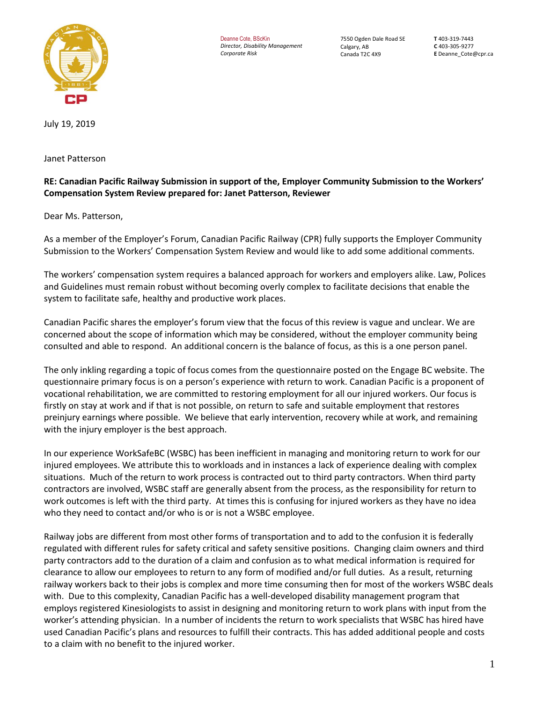

Deanne Cote, BScKin *Director, Disability Management Corporate Risk*

7550 Ogden Dale Road SE Calgary, AB Canada T2C 4X9

**T** 403-319-7443 **C** 403-305-9277 **E** Deanne\_Cote@cpr.ca

July 19, 2019

Janet Patterson

## **RE: Canadian Pacific Railway Submission in support of the, Employer Community Submission to the Workers' Compensation System Review prepared for: Janet Patterson, Reviewer**

Dear Ms. Patterson,

As a member of the Employer's Forum, Canadian Pacific Railway (CPR) fully supports the Employer Community Submission to the Workers' Compensation System Review and would like to add some additional comments.

The workers' compensation system requires a balanced approach for workers and employers alike. Law, Polices and Guidelines must remain robust without becoming overly complex to facilitate decisions that enable the system to facilitate safe, healthy and productive work places.

Canadian Pacific shares the employer's forum view that the focus of this review is vague and unclear. We are concerned about the scope of information which may be considered, without the employer community being consulted and able to respond. An additional concern is the balance of focus, as this is a one person panel.

The only inkling regarding a topic of focus comes from the questionnaire posted on the Engage BC website. The questionnaire primary focus is on a person's experience with return to work. Canadian Pacific is a proponent of vocational rehabilitation, we are committed to restoring employment for all our injured workers. Our focus is firstly on stay at work and if that is not possible, on return to safe and suitable employment that restores preinjury earnings where possible. We believe that early intervention, recovery while at work, and remaining with the injury employer is the best approach.

In our experience WorkSafeBC (WSBC) has been inefficient in managing and monitoring return to work for our injured employees. We attribute this to workloads and in instances a lack of experience dealing with complex situations. Much of the return to work process is contracted out to third party contractors. When third party contractors are involved, WSBC staff are generally absent from the process, as the responsibility for return to work outcomes is left with the third party. At times this is confusing for injured workers as they have no idea who they need to contact and/or who is or is not a WSBC employee.

Railway jobs are different from most other forms of transportation and to add to the confusion it is federally regulated with different rules for safety critical and safety sensitive positions. Changing claim owners and third party contractors add to the duration of a claim and confusion as to what medical information is required for clearance to allow our employees to return to any form of modified and/or full duties. As a result, returning railway workers back to their jobs is complex and more time consuming then for most of the workers WSBC deals with. Due to this complexity, Canadian Pacific has a well-developed disability management program that employs registered Kinesiologists to assist in designing and monitoring return to work plans with input from the worker's attending physician. In a number of incidents the return to work specialists that WSBC has hired have used Canadian Pacific's plans and resources to fulfill their contracts. This has added additional people and costs to a claim with no benefit to the injured worker.